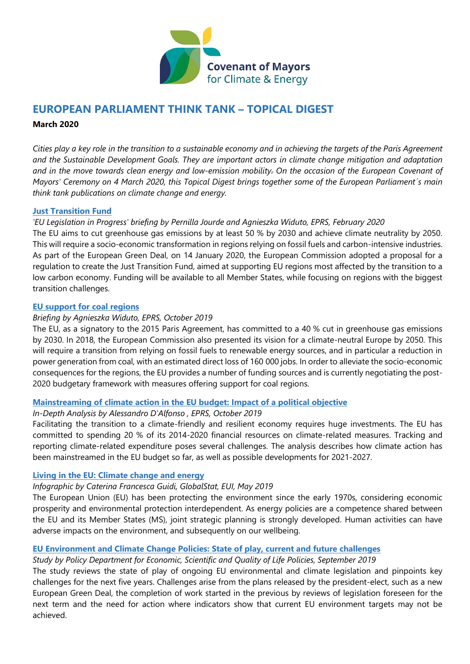

# **EUROPEAN PARLIAMENT THINK TANK – TOPICAL DIGEST**

#### **March 2020**

*Cities play a key role in the transition to a sustainable economy and in achieving the targets of the Paris Agreement and the Sustainable Development Goals. They are important actors in climate change mitigation and adaptation and in the move towards clean energy and low-emission mobility. On the occasion of the European Covenant of Mayors' Ceremony on 4 March 2020, this Topical Digest brings together some of the European Parliament´s main think tank publications on climate change and energy.*

#### **[Just Transition Fund](https://www.europarl.europa.eu/thinktank/en/document.html?reference=EPRS_BRI(2020)646180)**

## *'EU Legislation in Progress' briefing by Pernilla Jourde and Agnieszka Widuto, EPRS, February 2020*

The EU aims to cut greenhouse gas emissions by at least 50 % by 2030 and achieve climate neutrality by 2050. This will require a socio-economic transformation in regions relying on fossil fuels and carbon-intensive industries. As part of the European Green Deal, on 14 January 2020, the European Commission adopted a proposal for a regulation to create the Just Transition Fund, aimed at supporting EU regions most affected by the transition to a low carbon economy. Funding will be available to all Member States, while focusing on regions with the biggest transition challenges.

#### **[EU support for coal regions](http://www.europarl.europa.eu/thinktank/en/document.html?reference=EPRS_BRI(2019)642217)**

### *Briefing by Agnieszka Widuto, EPRS, October 2019*

The EU, as a signatory to the 2015 Paris Agreement, has committed to a 40 % cut in greenhouse gas emissions by 2030. In 2018, the European Commission also presented its vision for a climate-neutral Europe by 2050. This will require a transition from relying on fossil fuels to renewable energy sources, and in particular a reduction in power generation from coal, with an estimated direct loss of 160 000 jobs. In order to alleviate the socio-economic consequences for the regions, the EU provides a number of funding sources and is currently negotiating the post-2020 budgetary framework with measures offering support for coal regions.

### **[Mainstreaming of climate action in the EU budget: Impact of a political objective](http://www.europarl.europa.eu/thinktank/en/document.html?reference=EPRS_IDA(2019)642239)**

### *In-Depth Analysis by Alessandro D'Alfonso , EPRS, October 2019*

Facilitating the transition to a climate-friendly and resilient economy requires huge investments. The EU has committed to spending 20 % of its 2014-2020 financial resources on climate-related measures. Tracking and reporting climate-related expenditure poses several challenges. The analysis describes how climate action has been mainstreamed in the EU budget so far, as well as possible developments for 2021-2027.

### **[Living in the EU: Climate change and energy](https://www.europarl.europa.eu/RegData/etudes/ATAG/2019/635564/EPRS_ATA(2019)635564_EN.pdf)**

### *Infographic by Caterina Francesca Guidi, GlobalStat, EUI, May 2019*

The European Union (EU) has been protecting the environment since the early 1970s, considering economic prosperity and environmental protection interdependent. As energy policies are a competence shared between the EU and its Member States (MS), joint strategic planning is strongly developed. Human activities can have adverse impacts on the environment, and subsequently on our wellbeing.

### **[EU Environment and Climate Change Policies: State of play, current and future challenges](http://www.europarl.europa.eu/thinktank/en/document.html?reference=IPOL_STU(2019)638428)**

### *Study by Policy Department for Economic, Scientific and Quality of Life Policies, September 2019*

The study reviews the state of play of ongoing EU environmental and climate legislation and pinpoints key challenges for the next five years. Challenges arise from the plans released by the president-elect, such as a new European Green Deal, the completion of work started in the previous by reviews of legislation foreseen for the next term and the need for action where indicators show that current EU environment targets may not be achieved.